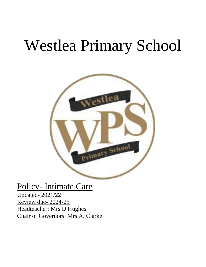# Westlea Primary School



# Policy- Intimate Care

Updated- 2021/22 Review due- 2024-25 Headteacher: Mrs D.Hughes Chair of Governors: Mrs A. Clarke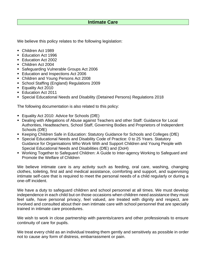#### **Intimate Care**

We believe this policy relates to the following legislation:

- Children Act 1989
- Education Act 1996
- Education Act 2002
- Children Act 2004
- Safeguarding Vulnerable Groups Act 2006
- Education and Inspections Act 2006
- Children and Young Persons Act 2008
- School Staffing (England) Regulations 2009
- **Equality Act 2010**
- **Education Act 2011**
- Special Educational Needs and Disability (Detained Persons) Regulations 2018

The following documentation is also related to this policy:

- Equality Act 2010: Advice for Schools (DfE)
- **Dealing with Allegations of Abuse against Teachers and other Staff: Guidance for Local** Authorities, Headteachers, School Staff, Governing Bodies and Proprietors of Independent Schools (DfE)
- Keeping Children Safe in Education: Statutory Guidance for Schools and Colleges (DfE)
- Special Educational Needs and Disability Code of Practice: 0 to 25 Years. Statutory Guidance for Organisations Who Work With and Support Children and Young People with Special Educational Needs and Disabilities (DfE) and (DoH)
- Working Together to Safeguard Children: A Guide to Inter-agency Working to Safeguard and Promote the Welfare of Children

We believe intimate care is any activity such as feeding, oral care, washing, changing clothes, toileting, first aid and medical assistance, comforting and support, and supervising intimate self-care that is required to meet the personal needs of a child regularly or during a one-off incident.

We have a duty to safeguard children and school personnel at all times. We must develop independence in each child but on those occasions when children need assistance they must feel safe, have personal privacy, feel valued, are treated with dignity and respect, are involved and consulted about their own intimate care with school personnel that are specially trained in intimate care procedures.

We wish to work in close partnership with parents/carers and other professionals to ensure continuity of care for pupils.

We treat every child as an individual treating them gently and sensitively as possible in order not to cause any form of distress, embarrassment or pain.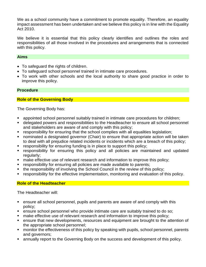We as a school community have a commitment to promote equality. Therefore, an equality impact assessment has been undertaken and we believe this policy is in line with the Equality Act 2010.

We believe it is essential that this policy clearly identifies and outlines the roles and responsibilities of all those involved in the procedures and arrangements that is connected with this policy.

#### **Aims**

- To safeguard the rights of children.
- To safeguard school personnel trained in intimate care procedures.
- To work with other schools and the local authority to share good practice in order to improve this policy.

#### **Procedure**

#### **Role of the Governing Body**

The Governing Body has:

- **E** appointed school personnel suitably trained in intimate care procedures for children;
- delegated powers and responsibilities to the Headteacher to ensure all school personnel and stakeholders are aware of and comply with this policy;
- responsibility for ensuring that the school complies with all equalities legislation;
- nominated a designated governor (Chair) to ensure that appropriate action will be taken to deal with all prejudice related incidents or incidents which are a breach of this policy;
- responsibility for ensuring funding is in place to support this policy;
- **EX FE** responsibility for ensuring this policy and all policies are maintained and updated regularly;
- make effective use of relevant research and information to improve this policy;
- responsibility for ensuring all policies are made available to parents;
- the responsibility of involving the School Council in the review of this policy;
- responsibility for the effective implementation, monitoring and evaluation of this policy.

#### **Role of the Headteacher**

The Headteacher will:

- ensure all school personnel, pupils and parents are aware of and comply with this policy;
- ensure school personnel who provide intimate care are suitably trained to do so;
- make effective use of relevant research and information to improve this policy;
- ensure that new developments, resources and equipment are brought to the attention of the appropriate school personnel;
- monitor the effectiveness of this policy by speaking with pupils, school personnel, parents and governors;
- annually report to the Governing Body on the success and development of this policy.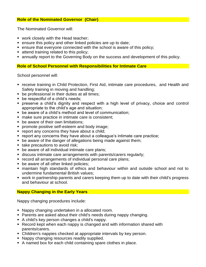#### **Role of the Nominated Governor (Chair)**

The Nominated Governor will:

- work closely with the Head teacher;
- ensure this policy and other linked policies are up to date;
- ensure that everyone connected with the school is aware of this policy;
- attend training related to this policy:
- **Examble 1** annually report to the Governing Body on the success and development of this policy.

#### **Role of School Personnel with Responsibilities for Intimate Care**

School personnel will:

- receive training in Child Protection, First Aid, intimate care procedures, and Health and Safety training in moving and handling;
- be professional in their duties at all times;
- be respectful of a child's needs:
- **•** preserve a child's dignity and respect with a high level of privacy, choice and control appropriate to the child's age and situation;
- be aware of a child's method and level of communication;
- make sure practice in intimate care is consistent;
- be aware of their own limitations:
- promote positive self-esteem and body image;
- **•** report any concerns they have about a child;
- report any concerns they have about a colleague's intimate care practice;
- be aware of the danger of allegations being made against them;
- take precautions to avoid risk;
- be aware of all individual intimate care plans;
- discuss intimate care arrangements with parents/carers regularly;
- record all arrangements of individual personal care plans;
- be aware of all other linked policies;
- maintain high standards of ethics and behaviour within and outside school and not to undermine fundamental British values;
- work in partnership parents and carers keeping them up to date with their child's progress and behaviour at school.

#### **Nappy Changing in the Early Years**

Nappy changing procedures include:

- Nappy changing undertaken in a allocated room.
- Parents are asked about their child's needs during nappy changing.
- A child's key person changes a child's nappy.
- Record kept when each nappy is changed and with information shared with parents/carers.
- Children's nappies checked at appropriate intervals by key person.
- Nappy changing resources readily supplied.
- A named box for each child containing spare clothes in place.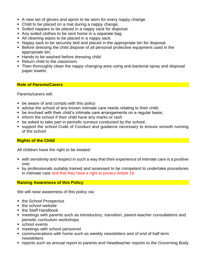- A new set of gloves and apron to be worn for every nappy change.
- Child to be placed on a mat during a nappy change.
- Soiled nappies to be placed in a nappy sack for disposal.
- Any soiled clothes to be sent home in a separate bag.
- All cleaning wipes to be placed in a nappy sack.
- Nappy sack to be securely tied and placed in the appropriate bin for disposal.
- Before dressing the child dispose of all personal protective equipment used in the appropriate bin.
- Hands to be washed before dressing child.
- Return child to the classroom.
- Then thoroughly clean the nappy changing area using anti-bacterial spray and disposal paper towels.

#### **Role of Parents/Carers**

Parents/carers will:

- be aware of and comply with this policy
- advise the school of any known intimate care needs relating to their child;
- be involved with their child's intimate care arrangements on a regular basis;
- **E** inform the school if their child have any marks or rash
- be asked to take part in periodic surveys conducted by the school;
- support the school Code of Conduct and guidance necessary to ensure smooth running of the school

#### **Rights of the Child**

All children have the right to be treated:

- with sensitivity and respect in such a way that their experience of intimate care is a positive one;
- **by professionals suitably trained and assessed to be competent to undertake procedures** in intimate care and that they have a right to privacy-Article 16.

#### **Raising Awareness of this Policy**

We will raise awareness of this policy via:

- the School Prospectus
- the school website
- the Staff Handbook
- meetings with parents such as introductory, transition, parent-teacher consultations and periodic curriculum workshops
- school events
- meetings with school personnel
- communications with home such as weekly newsletters and of end of half term newsletters
- reports such as annual report to parents and Headteacher reports to the Governing Body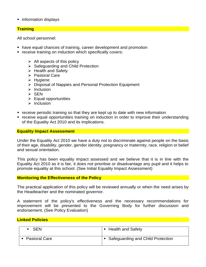#### ■ information displays

#### **Training**

All school personnel:

- have equal chances of training, career development and promotion
- receive training on induction which specifically covers:
	- $\triangleright$  All aspects of this policy
	- ➢ Safeguarding and Child Protection
	- ➢ Health and Safety
	- ➢ Pastoral Care
	- ➢ Hygiene
	- ➢ Disposal of Nappies and Personal Protection Equipment
	- ➢ Inclusion
	- ➢ SEN
	- $\triangleright$  Equal opportunities
	- ➢ Inclusion
- receive periodic training so that they are kept up to date with new information
- receive equal opportunities training on induction in order to improve their understanding of the Equality Act 2010 and its implications.

#### **Equality Impact Assessment**

Under the Equality Act 2010 we have a duty not to discriminate against people on the basis of their age, disability, gender, gender identity, pregnancy or maternity, race, religion or belief and sexual orientation.

This policy has been equality impact assessed and we believe that it is in line with the Equality Act 2010 as it is fair, it does not prioritise or disadvantage any pupil and it helps to promote equality at this school. (See Initial Equality Impact Assessment)

#### **Monitoring the Effectiveness of the Policy**

The practical application of this policy will be reviewed annually or when the need arises by the Headteacher and the nominated governor.

A statement of the policy's effectiveness and the necessary recommendations for improvement will be presented to the Governing Body for further discussion and endorsement. (See Policy Evaluation)

#### **Linked Policies**

| <b>SEN</b>    | ■ Health and Safety                 |
|---------------|-------------------------------------|
| Pastoral Care | • Safeguarding and Child Protection |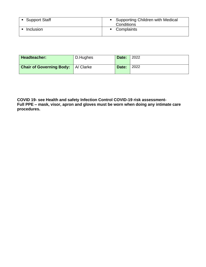| ■ Support Staff | Supporting Children with Medical<br>Conditions |
|-----------------|------------------------------------------------|
| Inclusion       | • Complaints                                   |

| Headteacher:                                | D.Hughes | Date: | 2022 |
|---------------------------------------------|----------|-------|------|
| <b>Chair of Governing Body:</b>   A/ Clarke |          | Date: | 2022 |

**COVID 19- see Health and safety Infection Control COVID-19 risk assessment-Full PPE – mask, visor, apron and gloves must be worn when doing any intimate care procedures.**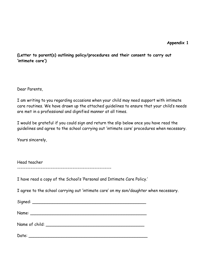#### **Appendix 1**

**(Letter to parent(s) outlining policy/procedures and their consent to carry out 'intimate care')**

Dear Parents,

I am writing to you regarding occasions when your child may need support with intimate care routines. We have drawn up the attached guidelines to ensure that your child's needs are met in a professional and dignified manner at all times.

I would be grateful if you could sign and return the slip below once you have read the guidelines and agree to the school carrying out 'intimate care' procedures when necessary.

Yours sincerely,

| Head teacher |  |     |
|--------------|--|-----|
|              |  | --- |

I have read a copy of the School's 'Personal and Intimate Care Policy.'

I agree to the school carrying out 'intimate care' on my son/daughter when necessary.

 $Signal:$ 

 $Name:$ 

Name of child: \_\_\_\_\_\_\_\_\_\_\_\_\_\_\_\_\_\_\_\_\_\_\_\_\_\_\_\_\_\_\_\_\_\_\_\_\_\_\_

Date: \_\_\_\_\_\_\_\_\_\_\_\_\_\_\_\_\_\_\_\_\_\_\_\_\_\_\_\_\_\_\_\_\_\_\_\_\_\_\_\_\_\_\_\_\_\_\_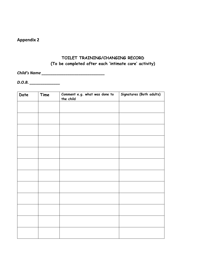# **Appendix 2**

### **TOILET TRAINING/CHANGING RECORD (To be completed after each 'intimate care' activity)**

*Child's Name \_\_\_\_\_\_\_\_\_\_\_\_\_\_\_\_\_\_\_\_\_\_\_\_\_\_\_\_\_* 

*D.O.B. \_\_\_\_\_\_\_\_\_\_\_\_\_\_*

| Date | Time | Comment e.g. what was done to<br>the child | Signatures (Both adults) |
|------|------|--------------------------------------------|--------------------------|
|      |      |                                            |                          |
|      |      |                                            |                          |
|      |      |                                            |                          |
|      |      |                                            |                          |
|      |      |                                            |                          |
|      |      |                                            |                          |
|      |      |                                            |                          |
|      |      |                                            |                          |
|      |      |                                            |                          |
|      |      |                                            |                          |
|      |      |                                            |                          |
|      |      |                                            |                          |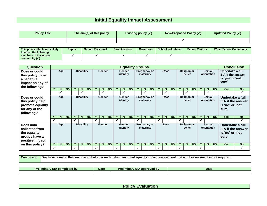# **Initial Equality Impact Assessment**

| <b>Policy Title</b> | The aim(s) of this policy | Existing policy $(\checkmark)$ | <b>New/Proposed Policy <math>(\checkmark)</math></b> | Updated Policy $(\checkmark)$ |
|---------------------|---------------------------|--------------------------------|------------------------------------------------------|-------------------------------|
|                     |                           |                                |                                                      |                               |

| This policy affects or is likely<br>$\mathsf I$ to affect the following $\mathsf I$ | <b>Pupils</b> | <b>School Personnel</b> | <b>Parents/carers</b> | <b>Governors</b> | <b>School Volunteers</b> | <b>School Visitors</b> | <b>Wider School Community</b> |
|-------------------------------------------------------------------------------------|---------------|-------------------------|-----------------------|------------------|--------------------------|------------------------|-------------------------------|
| members of the school  <br>community $(\checkmark)$                                 |               |                         |                       |                  |                          |                        |                               |

| <b>Question</b>                                                                       |   |                          |           |              |                   |           |                                                 |        |           |              |                    |           | <b>Equality Groups</b> |                                  |                              |   |                              |           |   |                                                                           |           |              |                              |           |                                                          | <b>Conclusion</b>        |
|---------------------------------------------------------------------------------------|---|--------------------------|-----------|--------------|-------------------|-----------|-------------------------------------------------|--------|-----------|--------------|--------------------|-----------|------------------------|----------------------------------|------------------------------|---|------------------------------|-----------|---|---------------------------------------------------------------------------|-----------|--------------|------------------------------|-----------|----------------------------------------------------------|--------------------------|
| Does or could<br>this policy have<br>a negative<br>impact on any of<br>the following? |   | <b>Disability</b><br>Age |           |              | <b>Gender</b>     |           | Gender<br>Pregnancy or<br>identity<br>maternity |        |           |              | Race               |           |                        |                                  | <b>Religion or</b><br>belief |   | <b>Sexual</b><br>orientation |           |   | Undertake a full<br><b>EIA if the answer</b><br>is 'yes' or 'not<br>sure' |           |              |                              |           |                                                          |                          |
|                                                                                       |   | N                        | <b>NS</b> | $\mathbf v$  | N                 | <b>NS</b> |                                                 | N      | <b>NS</b> |              | N.                 | <b>NS</b> |                        | $\mathbf N$                      | <b>NS</b>                    | v | N.                           | <b>NS</b> | Y | N.                                                                        | <b>NS</b> | $\checkmark$ | N                            | <b>NS</b> | <b>Yes</b>                                               | <b>No</b>                |
|                                                                                       |   | ✔                        |           |              |                   |           |                                                 |        |           |              |                    |           |                        | $\checkmark$                     |                              |   | v                            |           |   |                                                                           |           |              |                              |           |                                                          |                          |
| Does or could<br>this policy help<br>promote equality<br>for any of the<br>following? |   | Age                      |           |              | <b>Disability</b> |           |                                                 | Gender |           |              | Gender<br>identity |           |                        | maternity                        | <b>Pregnancy or</b>          |   | Race                         |           |   | <b>Religion or</b><br>belief                                              |           |              | <b>Sexual</b><br>orientation |           | Undertake a full<br>is 'no' or 'not<br>sure <sup>'</sup> | <b>EIA if the answer</b> |
|                                                                                       |   | N.                       | <b>NS</b> |              | N                 | <b>NS</b> |                                                 | N      | <b>NS</b> |              | N.                 | <b>NS</b> |                        | $\mathbf N$                      | <b>NS</b>                    |   | N.                           | <b>NS</b> |   | N.                                                                        | <b>NS</b> |              | N                            | <b>NS</b> | <b>Yes</b>                                               | <b>No</b>                |
|                                                                                       | ✔ |                          |           | $\checkmark$ |                   |           | ✓                                               |        |           | ✓            |                    |           | ✓                      |                                  |                              | ✓ |                              |           | ✔ |                                                                           |           |              |                              |           |                                                          |                          |
| Does data<br>collected from<br>the equality<br>groups have a<br>positive impact       |   | Age                      |           |              | <b>Disability</b> |           |                                                 | Gender |           |              | Gender<br>identity |           |                        | <b>Pregnancy or</b><br>maternity |                              |   | Race                         |           |   | <b>Religion or</b><br>belief                                              |           |              | <b>Sexual</b><br>orientation |           | Undertake a full<br>is 'no' or 'not<br>sure'             | <b>EIA if the answer</b> |
| on this policy?                                                                       |   | N.                       | <b>NS</b> | Y            | N.                | <b>NS</b> |                                                 | N      | <b>NS</b> |              | N                  | <b>NS</b> |                        | $\mathbf N$                      | <b>NS</b>                    | Y | N.                           | <b>NS</b> | Y | N.                                                                        | <b>NS</b> |              | N                            | <b>NS</b> | <b>Yes</b>                                               | <b>No</b>                |
|                                                                                       |   |                          |           |              |                   |           | ✔                                               |        |           | $\checkmark$ |                    |           | √                      |                                  |                              |   |                              |           |   |                                                                           |           | ✔            |                              |           |                                                          |                          |

**Conclusion** We have come to the conclusion that after undertaking an initial equality impact assessment that a full assessment is not required.

| --<br>completed by<br>reliminar | Date | --<br>Prelimina<br>--<br>approved<br>l ov<br>– F | Date |
|---------------------------------|------|--------------------------------------------------|------|
|                                 |      |                                                  |      |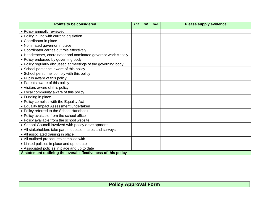| <b>Points to be considered</b>                                 | Yes | <b>No</b> | N/A | <b>Please supply evidence</b> |
|----------------------------------------------------------------|-----|-----------|-----|-------------------------------|
| • Policy annually reviewed                                     |     |           |     |                               |
| • Policy in line with current legislation                      |     |           |     |                               |
| • Coordinator in place                                         |     |           |     |                               |
| • Nominated governor in place                                  |     |           |     |                               |
| • Coordinator carries out role effectively                     |     |           |     |                               |
| • Headteacher, coordinator and nominated governor work closely |     |           |     |                               |
| • Policy endorsed by governing body                            |     |           |     |                               |
| • Policy regularly discussed at meetings of the governing body |     |           |     |                               |
| • School personnel aware of this policy                        |     |           |     |                               |
| • School personnel comply with this policy                     |     |           |     |                               |
| • Pupils aware of this policy                                  |     |           |     |                               |
| • Parents aware of this policy                                 |     |           |     |                               |
| • Visitors aware of this policy                                |     |           |     |                               |
| • Local community aware of this policy                         |     |           |     |                               |
| • Funding in place                                             |     |           |     |                               |
| • Policy complies with the Equality Act                        |     |           |     |                               |
| • Equality Impact Assessment undertaken                        |     |           |     |                               |
| • Policy referred to the School Handbook                       |     |           |     |                               |
| • Policy available from the school office                      |     |           |     |                               |
| • Policy available from the school website                     |     |           |     |                               |
| • School Council involved with policy development              |     |           |     |                               |
| • All stakeholders take part in questionnaires and surveys     |     |           |     |                               |
| • All associated training in place                             |     |           |     |                               |
| • All outlined procedures complied with                        |     |           |     |                               |
| • Linked policies in place and up to date                      |     |           |     |                               |
| • Associated policies in place and up to date                  |     |           |     |                               |
| A statement outlining the overall effectiveness of this policy |     |           |     |                               |
|                                                                |     |           |     |                               |
|                                                                |     |           |     |                               |

**Policy Approval Form**